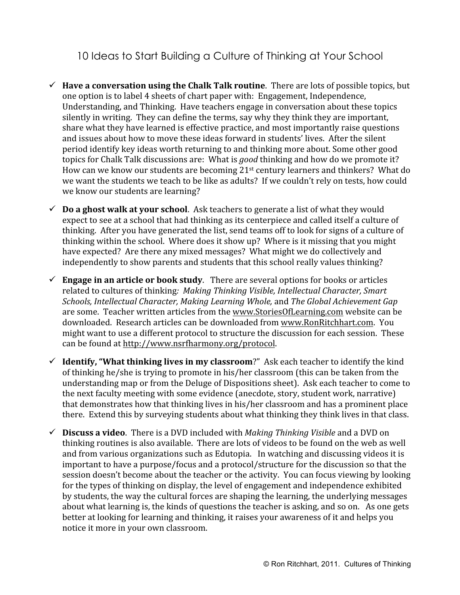10 Ideas to Start Building a Culture of Thinking at Your School

- $\checkmark$  Have a conversation using the Chalk Talk routine. There are lots of possible topics, but one
option
is
to
label
4
sheets
of
chart
paper with:

Engagement,
Independence, Understanding,
and
Thinking.

Have
teachers
engage
in
conversation
about
these
topics silently in writing. They can define the terms, say why they think they are important, share
what
they
have
learned
is
effective practice,
and
most
importantly
raise
questions and
issues
about
how
to
move
these
ideas
forward
in
students'
lives. After
the
silent period
identify
key
ideas
worth
returning
to
and
thinking
more
about.
Some
other
good topics for Chalk Talk discussions are: What is *good* thinking and how do we promote it? How can we know our students are becoming 21<sup>st</sup> century learners and thinkers? What do we want the students we teach to be like as adults? If we couldn't rely on tests, how could we
know
our
students
are
learning?
- $\checkmark$  **Do a ghost walk at your school**. Ask teachers to generate a list of what they would expect to see at a school that had thinking as its centerpiece and called itself a culture of thinking. After you have generated the list, send teams off to look for signs of a culture of thinking within the school. Where does it show up? Where is it missing that you might have expected? Are there any mixed messages? What might we do collectively and independently to show parents and students that this school really values thinking?
- $\checkmark$  **Engage in an article or book study**. There are several options for books or articles related
to
cultures
of
thinking*:

Making
Thinking
Visible,
Intellectual
Character,
Smart Schools, Intellectual
Character, Making
Learning
Whole,* and *The
Global
Achievement
Gap* are
some.

Teacher
written
articles
from
the
www.StoriesOfLearning.com website
can
be downloaded. Research articles can be downloaded from www.RonRitchhart.com. You might
want
to
use a
different
protocol to
structure
the
discussion for
each
session.

These can
be
found
at
http://www.nsrfharmony.org/protocol.
- $\checkmark$  **Identify, "What thinking lives in my classroom**?" Ask each teacher to identify the kind of
thinking
he/she is trying
to
promote
in
his/her classroom
(this
can
be
taken
from
the understanding
map
or
from
the
Deluge
of
Dispositions
sheet).

Ask
each
teacher
to
come
to the
next
faculty
meeting
with
some
evidence
(anecdote,
story,
student
work,
narrative) that demonstrates how that thinking lives in his/her classroom and has a prominent place there. Extend this by surveying students about what thinking they think lives in that class.
- $\checkmark$  **Discuss a video**. There is a DVD included with *Making Thinking Visible* and a DVD on thinking
routines
is
also
available.

There
are
lots
of
videos
to
be
found
on
the
web
as
well and
from
various
organizations
such
as
Edutopia.

In
watching
and
discussing
videos
it
is important to have a purpose/focus and a protocol/structure for the discussion so that the session doesn't become about the teacher or the activity. You can focus viewing by looking for
the
types
of
thinking
on
display,
the
level
of
engagement
and
independence
exhibited by
students,
the
way
the
cultural
forces
are
shaping
the
learning,
the
underlying
messages about what learning is, the kinds of questions the teacher is asking, and so on. As one gets better at looking
for
learning
and
thinking,
it raises
your awareness
of
it
and
helps
you notice
it
more
in
your
own
classroom.